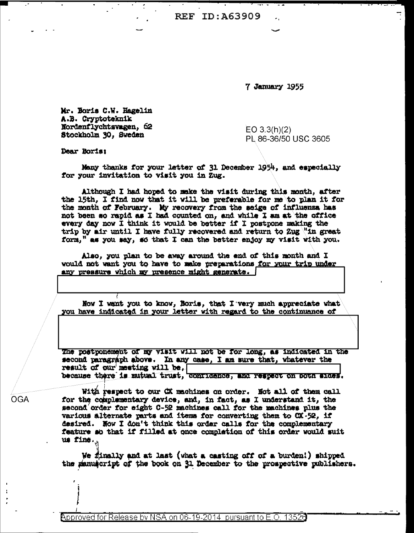**REF ID: A63909** 

7 January 1955

Mr. Boris C.W. Hagelin A.B. Cryptoteknik Nordenflychtsvagen, 62 Stockholm 30, Sweden

 $EO 3.3(h)(2)$ PL 86-36/50 USC 3605

Dear Boris:

Many thanks for your letter of 31 December 1954, and especially for your invitation to visit you in Zug.

Although I had hoped to make the visit during this month, after the 15th, I find now that it will be preferable for me to plan it for the month of February. My recovery from the seige of influenza has not been so rapid as I had counted on, and while I am at the office every day now I think it would be better if I postpone making the trip by air until I have fully recovered and return to Zug "in great form," as you say, so that I can the better enjoy my visit with you.

Also, you plan to be away around the end of this month and I would not want you to have to make preparations for your trip under any pressure which my presence might generate. |

Now I want you to know, Boris, that I very much appreciate what you have indicated in your letter with regard to the continuance of

The postponement of my visit will not be for long, as indicated in the second paragraph above. In any case, I am sure that, whatever the result of our meeting will be, because there is mutual trust, conridence, and respect on poth aldes.

With respect to our CX machines on order. Not all of them call for the complementary device, and, in fact, as I understand it, the second order for eight C-52 machines call for the machines plus the various alternate parts and items for converting them to CX-52, if desired. Now I don't think this order calls for the complementary feature so that if filled at once completion of this order would suit us fine.

We finally and at last (what a casting off of a burden!) shipped the panuacript of the book on 31 December to the prospective publishers.

**OGA**